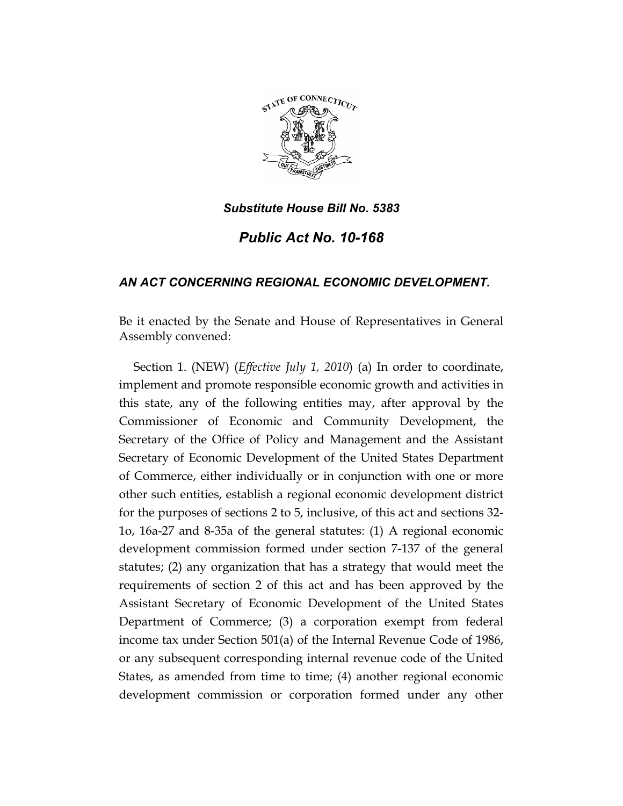

*Public Act No. 10-168* 

# *AN ACT CONCERNING REGIONAL ECONOMIC DEVELOPMENT.*

Be it enacted by the Senate and House of Representatives in General Assembly convened:

Section 1. (NEW) (*Effective July 1, 2010*) (a) In order to coordinate, implement and promote responsible economic growth and activities in this state, any of the following entities may, after approval by the Commissioner of Economic and Community Development, the Secretary of the Office of Policy and Management and the Assistant Secretary of Economic Development of the United States Department of Commerce, either individually or in conjunction with one or more other such entities, establish a regional economic development district for the purposes of sections 2 to 5, inclusive, of this act and sections 32- 1o, 16a-27 and 8-35a of the general statutes: (1) A regional economic development commission formed under section 7-137 of the general statutes; (2) any organization that has a strategy that would meet the requirements of section 2 of this act and has been approved by the Assistant Secretary of Economic Development of the United States Department of Commerce; (3) a corporation exempt from federal income tax under Section 501(a) of the Internal Revenue Code of 1986, or any subsequent corresponding internal revenue code of the United States, as amended from time to time; (4) another regional economic development commission or corporation formed under any other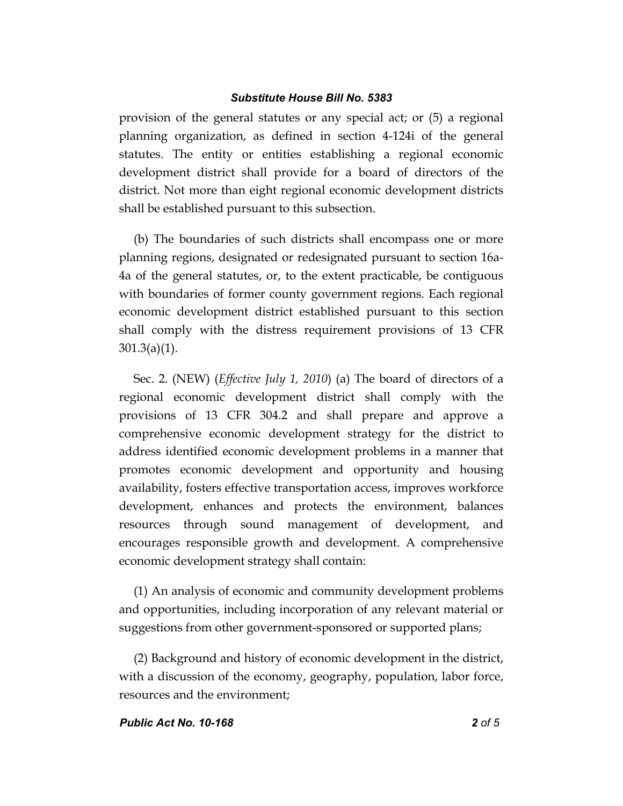provision of the general statutes or any special act; or (5) a regional planning organization, as defined in section 4-124i of the general statutes. The entity or entities establishing a regional economic development district shall provide for a board of directors of the district. Not more than eight regional economic development districts shall be established pursuant to this subsection.

(b) The boundaries of such districts shall encompass one or more planning regions, designated or redesignated pursuant to section 16a-4a of the general statutes, or, to the extent practicable, be contiguous with boundaries of former county government regions. Each regional economic development district established pursuant to this section shall comply with the distress requirement provisions of 13 CFR 301.3(a)(1).

Sec. 2. (NEW) (*Effective July 1, 2010*) (a) The board of directors of a regional economic development district shall comply with the provisions of 13 CFR 304.2 and shall prepare and approve a comprehensive economic development strategy for the district to address identified economic development problems in a manner that promotes economic development and opportunity and housing availability, fosters effective transportation access, improves workforce development, enhances and protects the environment, balances resources through sound management of development, and encourages responsible growth and development. A comprehensive economic development strategy shall contain:

(1) An analysis of economic and community development problems and opportunities, including incorporation of any relevant material or suggestions from other government-sponsored or supported plans;

(2) Background and history of economic development in the district, with a discussion of the economy, geography, population, labor force, resources and the environment;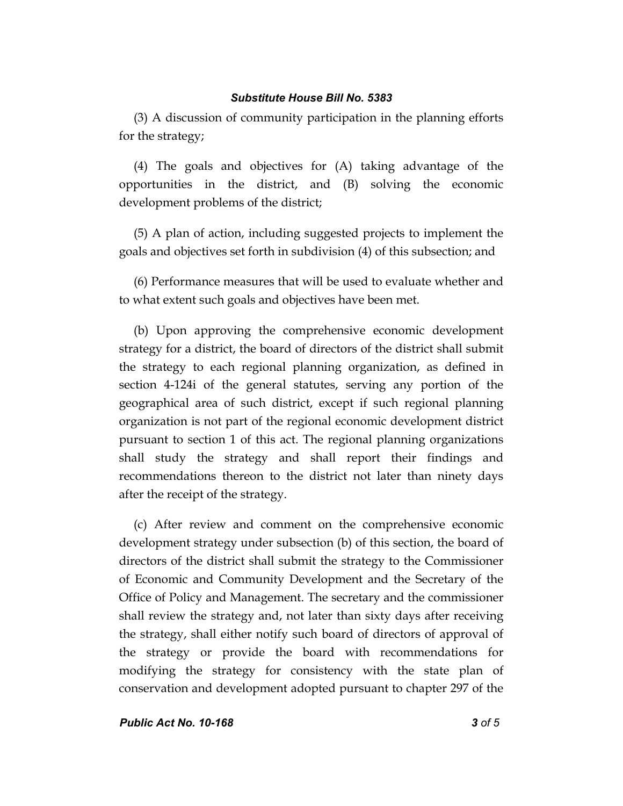(3) A discussion of community participation in the planning efforts for the strategy;

(4) The goals and objectives for (A) taking advantage of the opportunities in the district, and (B) solving the economic development problems of the district;

(5) A plan of action, including suggested projects to implement the goals and objectives set forth in subdivision (4) of this subsection; and

(6) Performance measures that will be used to evaluate whether and to what extent such goals and objectives have been met.

(b) Upon approving the comprehensive economic development strategy for a district, the board of directors of the district shall submit the strategy to each regional planning organization, as defined in section 4-124i of the general statutes, serving any portion of the geographical area of such district, except if such regional planning organization is not part of the regional economic development district pursuant to section 1 of this act. The regional planning organizations shall study the strategy and shall report their findings and recommendations thereon to the district not later than ninety days after the receipt of the strategy.

(c) After review and comment on the comprehensive economic development strategy under subsection (b) of this section, the board of directors of the district shall submit the strategy to the Commissioner of Economic and Community Development and the Secretary of the Office of Policy and Management. The secretary and the commissioner shall review the strategy and, not later than sixty days after receiving the strategy, shall either notify such board of directors of approval of the strategy or provide the board with recommendations for modifying the strategy for consistency with the state plan of conservation and development adopted pursuant to chapter 297 of the

*Public Act No. 10-168 3 of 5*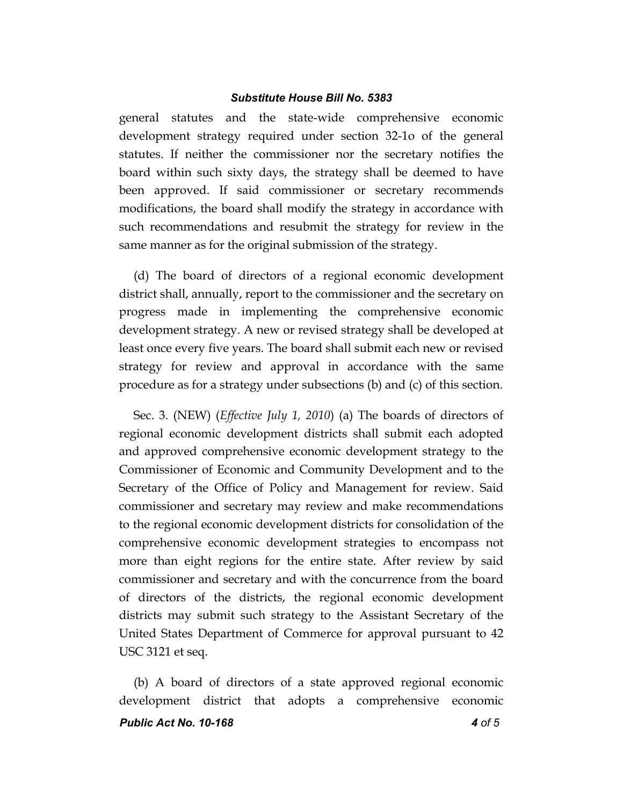general statutes and the state-wide comprehensive economic development strategy required under section 32-1o of the general statutes. If neither the commissioner nor the secretary notifies the board within such sixty days, the strategy shall be deemed to have been approved. If said commissioner or secretary recommends modifications, the board shall modify the strategy in accordance with such recommendations and resubmit the strategy for review in the same manner as for the original submission of the strategy.

(d) The board of directors of a regional economic development district shall, annually, report to the commissioner and the secretary on progress made in implementing the comprehensive economic development strategy. A new or revised strategy shall be developed at least once every five years. The board shall submit each new or revised strategy for review and approval in accordance with the same procedure as for a strategy under subsections (b) and (c) of this section.

Sec. 3. (NEW) (*Effective July 1, 2010*) (a) The boards of directors of regional economic development districts shall submit each adopted and approved comprehensive economic development strategy to the Commissioner of Economic and Community Development and to the Secretary of the Office of Policy and Management for review. Said commissioner and secretary may review and make recommendations to the regional economic development districts for consolidation of the comprehensive economic development strategies to encompass not more than eight regions for the entire state. After review by said commissioner and secretary and with the concurrence from the board of directors of the districts, the regional economic development districts may submit such strategy to the Assistant Secretary of the United States Department of Commerce for approval pursuant to 42 USC 3121 et seq.

*Public Act No. 10-168 4 of 5* (b) A board of directors of a state approved regional economic development district that adopts a comprehensive economic